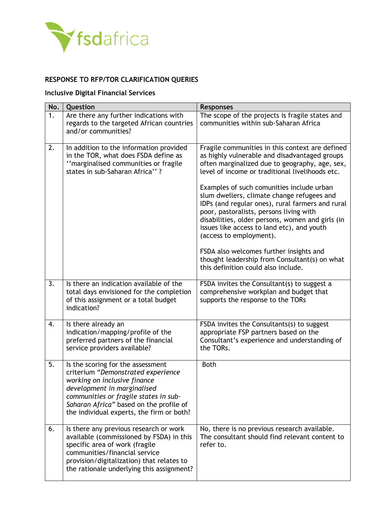

## **RESPONSE TO RFP/TOR CLARIFICATION QUERIES**

## **Inclusive Digital Financial Services**

| No. | Question                                                                                                                                                                                                                                                                | <b>Responses</b>                                                                                                                                                                                                                                                                                                                                                                                                                                                                                                                                                                                                         |
|-----|-------------------------------------------------------------------------------------------------------------------------------------------------------------------------------------------------------------------------------------------------------------------------|--------------------------------------------------------------------------------------------------------------------------------------------------------------------------------------------------------------------------------------------------------------------------------------------------------------------------------------------------------------------------------------------------------------------------------------------------------------------------------------------------------------------------------------------------------------------------------------------------------------------------|
| 1.  | Are there any further indications with<br>regards to the targeted African countries<br>and/or communities?                                                                                                                                                              | The scope of the projects is fragile states and<br>communities within sub-Saharan Africa                                                                                                                                                                                                                                                                                                                                                                                                                                                                                                                                 |
| 2.  | In addition to the information provided<br>in the TOR, what does FSDA define as<br>"marginalised communities or fragile<br>states in sub-Saharan Africa"?                                                                                                               | Fragile communities in this context are defined<br>as highly vulnerable and disadvantaged groups<br>often marginalized due to geography, age, sex,<br>level of income or traditional livelihoods etc.<br>Examples of such comunities include urban<br>slum dwellers, climate change refugees and<br>IDPs (and regular ones), rural farmers and rural<br>poor, pastoralists, persons living with<br>disabilities, older persons, women and girls (in<br>issues like access to land etc), and youth<br>(access to employment).<br>FSDA also welcomes further insights and<br>thought leadership from Consultant(s) on what |
|     |                                                                                                                                                                                                                                                                         | this definition could also include.                                                                                                                                                                                                                                                                                                                                                                                                                                                                                                                                                                                      |
| 3.  | Is there an indication available of the<br>total days envisioned for the completion<br>of this assignment or a total budget<br>indication?                                                                                                                              | FSDA invites the Consultant(s) to suggest a<br>comprehensive workplan and budget that<br>supports the response to the TORs                                                                                                                                                                                                                                                                                                                                                                                                                                                                                               |
| 4.  | Is there already an<br>indication/mapping/profile of the<br>preferred partners of the financial<br>service providers available?                                                                                                                                         | FSDA invites the Consultants(s) to suggest<br>appropriate FSP partners based on the<br>Consultant's experience and understanding of<br>the TORs.                                                                                                                                                                                                                                                                                                                                                                                                                                                                         |
| 5.  | Is the scoring for the assessment<br>criterium "Demonstrated experience<br>working on inclusive finance<br>development in marginalised<br>communities or fragile states in sub-<br>Saharan Africa" based on the profile of<br>the individual experts, the firm or both? | <b>Both</b>                                                                                                                                                                                                                                                                                                                                                                                                                                                                                                                                                                                                              |
| 6.  | Is there any previous research or work<br>available (commissioned by FSDA) in this<br>specific area of work (fragile<br>communities/financial service<br>provision/digitalization) that relates to<br>the rationale underlying this assignment?                         | No, there is no previous research available.<br>The consultant should find relevant content to<br>refer to.                                                                                                                                                                                                                                                                                                                                                                                                                                                                                                              |